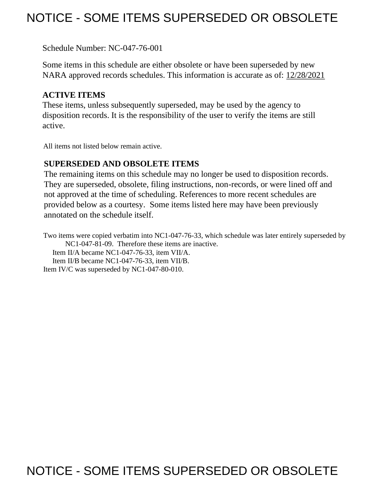# NOTICE - SOME ITEMS SUPERSEDED OR OBSOLETE

Schedule Number: NC-047-76-001

Some items in this schedule are either obsolete or have been superseded by new NARA approved records schedules. This information is accurate as of: 12/28/2021

## **ACTIVE ITEMS**

These items, unless subsequently superseded, may be used by the agency to disposition records. It is the responsibility of the user to verify the items are still active.

All items not listed below remain active.

### **SUPERSEDED AND OBSOLETE ITEMS**

The remaining items on this schedule may no longer be used to disposition records. They are superseded, obsolete, filing instructions, non-records, or were lined off and not approved at the time of scheduling. References to more recent schedules are provided below as a courtesy. Some items listed here may have been previously annotated on the schedule itself.

Two items were copied verbatim into NC1-047-76-33, which schedule was later entirely superseded by NC1-047-81-09. Therefore these items are inactive. Item II/A became NC1-047-76-33, item VII/A. Item II/B became NC1-047-76-33, item VII/B. Item IV/C was superseded by NC1-047-80-010.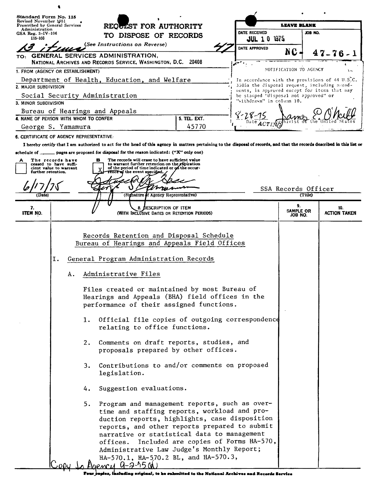| Standard Form No. 115<br>Revised November 1951<br>Prescribed by General Services                                                                                                                 |                                                                                                                                                                                                                                                                                                                                                                                                                                                                                                                                                                                                                                                                              |              |                                                                                              |                                |               |                            |  |
|--------------------------------------------------------------------------------------------------------------------------------------------------------------------------------------------------|------------------------------------------------------------------------------------------------------------------------------------------------------------------------------------------------------------------------------------------------------------------------------------------------------------------------------------------------------------------------------------------------------------------------------------------------------------------------------------------------------------------------------------------------------------------------------------------------------------------------------------------------------------------------------|--------------|----------------------------------------------------------------------------------------------|--------------------------------|---------------|----------------------------|--|
| Administration<br>$GSA$ Reg. $3 - IV - 106$<br>115-103                                                                                                                                           | REQUEST FOR AUTHORITY<br>TO DISPOSE OF RECORDS                                                                                                                                                                                                                                                                                                                                                                                                                                                                                                                                                                                                                               |              | DATE RECEIVED<br><b>JUL 10 1975</b>                                                          | <b>LEAVE BLANK</b><br>JOB NO.  |               |                            |  |
|                                                                                                                                                                                                  | (See Instructions on Reverse)                                                                                                                                                                                                                                                                                                                                                                                                                                                                                                                                                                                                                                                |              | DATE APPROVED                                                                                |                                |               |                            |  |
| GENERAL SERVICES ADMINISTRATION,<br>TO:                                                                                                                                                          | NATIONAL ARCHIVES AND RECORDS SERVICE, WASHINGTON, D.C. 20408                                                                                                                                                                                                                                                                                                                                                                                                                                                                                                                                                                                                                |              |                                                                                              | N <sub>C</sub>                 | $47 - 76 - 1$ |                            |  |
| 1. FROM (AGENCY OR ESTABLISHMENT)                                                                                                                                                                |                                                                                                                                                                                                                                                                                                                                                                                                                                                                                                                                                                                                                                                                              |              |                                                                                              | NOTIFICATION TO AGENCY         |               |                            |  |
|                                                                                                                                                                                                  | Department of Health, Education, and Welfare                                                                                                                                                                                                                                                                                                                                                                                                                                                                                                                                                                                                                                 |              | In accordance with the provisions of 44 U.S.C.                                               |                                |               |                            |  |
| 2. MAJOR SUBDIVISION                                                                                                                                                                             |                                                                                                                                                                                                                                                                                                                                                                                                                                                                                                                                                                                                                                                                              |              | 3303a the disposal request, including amend-<br>ments, is approved except for items that may |                                |               |                            |  |
| Social Security Administration                                                                                                                                                                   |                                                                                                                                                                                                                                                                                                                                                                                                                                                                                                                                                                                                                                                                              |              | be stamped "disposal not approved" or<br>"withdrawn" in column 10.                           |                                |               |                            |  |
| 3. MINOR SUBDIVISION<br>Bureau of Hearings and Appeals                                                                                                                                           |                                                                                                                                                                                                                                                                                                                                                                                                                                                                                                                                                                                                                                                                              |              |                                                                                              |                                |               |                            |  |
| 4. NAME OF PERSON WITH WHOM TO CONFER                                                                                                                                                            |                                                                                                                                                                                                                                                                                                                                                                                                                                                                                                                                                                                                                                                                              | 5. TEL. EXT. |                                                                                              |                                |               |                            |  |
| George S. Yamamura                                                                                                                                                                               |                                                                                                                                                                                                                                                                                                                                                                                                                                                                                                                                                                                                                                                                              | 45770        |                                                                                              |                                |               |                            |  |
| 6. CERTIFICATE OF AGENCY REPRESENTATIVE:                                                                                                                                                         |                                                                                                                                                                                                                                                                                                                                                                                                                                                                                                                                                                                                                                                                              |              |                                                                                              |                                |               |                            |  |
|                                                                                                                                                                                                  | I hereby certify that I am authorized to act for the head of this agency in matters pertaining to the disposal of records, and that the records described in this list or                                                                                                                                                                                                                                                                                                                                                                                                                                                                                                    |              |                                                                                              |                                |               |                            |  |
| schedule of pages are proposed for disposal for the reason indicated: ("X" only one)<br>The records have<br>A<br>ceased to have suffi-<br>cient value to warrant<br>further retention.<br>(Date) | The records will cease to have sufficient value<br>в<br>to warrant further retention on the expiration<br>of the period of time indicated or on the occur-<br>ence of the event specified.<br>(Signature of Agency Representative)                                                                                                                                                                                                                                                                                                                                                                                                                                           |              |                                                                                              | SSA Records Officer<br>(Title) |               |                            |  |
|                                                                                                                                                                                                  |                                                                                                                                                                                                                                                                                                                                                                                                                                                                                                                                                                                                                                                                              |              |                                                                                              | 9.                             |               |                            |  |
| 7.<br><b>ITEM NO.</b>                                                                                                                                                                            | 8. DESCRIPTION OF ITEM<br>(WITH INCLUSIVE DATES OR RETENTION PERIODS)                                                                                                                                                                                                                                                                                                                                                                                                                                                                                                                                                                                                        |              |                                                                                              | SAMPLE OR<br>JOB NO.           |               | 10.<br><b>ACTION TAKEN</b> |  |
| Ι.<br>А.<br>ı.<br>2.<br>3.<br>4.<br>5.                                                                                                                                                           | Records Retention and Disposal Schedule<br>Bureau of Hearings and Appeals Field Offices<br>General Program Administration Records<br>Administrative Files<br>Files created or maintained by most Bureau of<br>Hearings and Appeals (BHA) field offices in the<br>performance of their assigned functions.<br>Official file copies of outgoing correspondence<br>relating to office functions.<br>Comments on draft reports, studies, and<br>proposals prepared by other offices.<br>Contributions to and/or comments on proposed<br>legislation.<br>Suggestion evaluations.<br>Program and management reports, such as over-<br>time and staffing reports, workload and pro- |              |                                                                                              |                                |               |                            |  |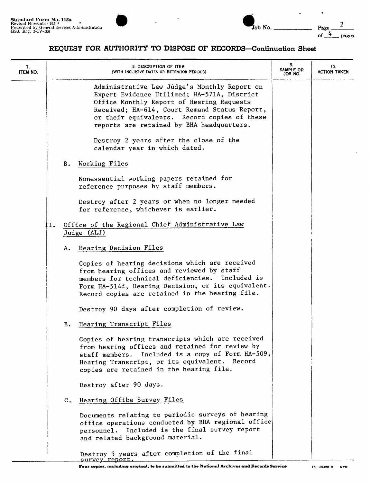



#### **REQUEST FOR AUTHORITY TO DISPOSE OF RECORDS-Continuation Sheet**

| 7.<br><b>ITEM NO.</b> |     |             | 8. DESCRIPTION OF ITEM<br>(WITH INCLUSIVE DATES OR RETENTION PERIODS)                                                                                                                                                                                                                  | 9.<br>SAMPLE OR<br>JOB NO. | 10.<br><b>ACTION TAKEN</b> |
|-----------------------|-----|-------------|----------------------------------------------------------------------------------------------------------------------------------------------------------------------------------------------------------------------------------------------------------------------------------------|----------------------------|----------------------------|
|                       |     |             | Administrative Law Judge's Monthly Report on<br>Expert Evidence Utilized; HA-571A, District<br>Office Monthly Report of Hearing Requests<br>Received; HA-614, Court Remand Status Report,<br>or their equivalents. Record copies of these<br>reports are retained by BHA headquarters. |                            |                            |
|                       |     |             | Destroy 2 years after the close of the<br>calendar year in which dated.                                                                                                                                                                                                                |                            |                            |
|                       |     | Β.          | Working Files                                                                                                                                                                                                                                                                          |                            |                            |
|                       |     |             | Nonessential working papers retained for<br>reference purposes by staff members.                                                                                                                                                                                                       |                            |                            |
|                       |     |             | Destroy after 2 years or when no longer needed<br>for reference, whichever is earlier.                                                                                                                                                                                                 |                            |                            |
|                       | II. |             | Office of the Regional Chief Administrative Law                                                                                                                                                                                                                                        |                            |                            |
|                       |     |             | Judge (ALJ)                                                                                                                                                                                                                                                                            |                            |                            |
|                       |     | А.          | Hearing Decision Files                                                                                                                                                                                                                                                                 |                            |                            |
|                       |     |             | Copies of hearing decisions which are received<br>from hearing offices and reviewed by staff<br>members for technical deficiencies. Included is<br>Form HA-514d, Hearing Decision, or its equivalent.<br>Record copies are retained in the hearing file.                               |                            |                            |
|                       |     |             | Destroy 90 days after completion of review.                                                                                                                                                                                                                                            |                            |                            |
|                       |     | в.          | Hearing Transcript Files                                                                                                                                                                                                                                                               |                            |                            |
|                       |     |             | Copies of hearing transcripts which are received<br>from hearing offices and retained for review by<br>Included is a copy of Form HA-509,<br>staff members.<br>Hearing Transcript, or its equivalent. Record<br>copies are retained in the hearing file.                               |                            |                            |
|                       |     |             | Destroy after 90 days.                                                                                                                                                                                                                                                                 |                            |                            |
|                       |     | $c_{\star}$ | Hearing Office Survey Files                                                                                                                                                                                                                                                            |                            |                            |
|                       |     |             | Documents relating to periodic surveys of hearing<br>office operations conducted by BHA regional office<br>Included is the final survey report<br>personnel.<br>and related background material.                                                                                       |                            |                            |
|                       |     |             | Destroy 5 years after completion of the final<br>survey report.                                                                                                                                                                                                                        |                            |                            |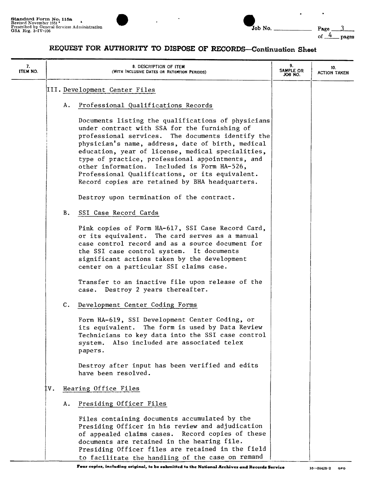

| Job No. | Page  |
|---------|-------|
|         | pages |

# REQUEST FOR AUTHORITY TO DISPOSE OF RECORDS-Continuation Sheet

| 7.<br>ITEM NO. | 8. DESCRIPTION OF ITEM<br>(WITH INCLUSIVE DATES OR RETENTION PERIODS) |                                                                                                                                                                                                                                                                                                                                                                                                                                                                             |  | 10.<br>ACTION TAKEN |
|----------------|-----------------------------------------------------------------------|-----------------------------------------------------------------------------------------------------------------------------------------------------------------------------------------------------------------------------------------------------------------------------------------------------------------------------------------------------------------------------------------------------------------------------------------------------------------------------|--|---------------------|
|                | III. Development Center Files                                         |                                                                                                                                                                                                                                                                                                                                                                                                                                                                             |  |                     |
|                | Α.                                                                    | Professional Qualifications Records                                                                                                                                                                                                                                                                                                                                                                                                                                         |  |                     |
|                |                                                                       | Documents listing the qualifications of physicians<br>under contract with SSA for the furnishing of<br>professional services. The documents identify the<br>physician's name, address, date of birth, medical<br>education, year of license, medical specialities,<br>type of practice, professional appointments, and<br>other information. Included is Form HA-526,<br>Professional Qualifications, or its equivalent.<br>Record copies are retained by BHA headquarters. |  |                     |
|                |                                                                       | Destroy upon termination of the contract.                                                                                                                                                                                                                                                                                                                                                                                                                                   |  |                     |
|                |                                                                       | B. SSI Case Record Cards                                                                                                                                                                                                                                                                                                                                                                                                                                                    |  |                     |
|                |                                                                       | Pink copies of Form HA-617, SSI Case Record Card,<br>or its equivalent. The card serves as a manual<br>case control record and as a source document for<br>the SSI case control system. It documents<br>significant actions taken by the development<br>center on a particular SSI claims case.<br>Transfer to an inactive file upon release of the<br>case. Destroy 2 years thereafter.                                                                                    |  |                     |
|                |                                                                       | Development Center Coding Forms<br>$c_{\star}$                                                                                                                                                                                                                                                                                                                                                                                                                              |  |                     |
|                |                                                                       | Form HA-619, SSI Development Center Coding, or<br>its equivalent. The form is used by Data Review<br>Technicians to key data into the SSI case control<br>system. Also included are associated telex<br>papers.                                                                                                                                                                                                                                                             |  |                     |
|                |                                                                       | Destroy after input has been verified and edits<br>have been resolved.                                                                                                                                                                                                                                                                                                                                                                                                      |  |                     |
|                | ĮV.                                                                   | Hearing Office Files                                                                                                                                                                                                                                                                                                                                                                                                                                                        |  |                     |
|                | Α.                                                                    | Presiding Officer Files                                                                                                                                                                                                                                                                                                                                                                                                                                                     |  |                     |
|                |                                                                       | Files containing documents accumulated by the<br>Presiding Officer in his review and adjudication<br>of appealed claims cases. Record copies of these<br>documents are retained in the hearing file.<br>Presiding Officer files are retained in the field<br>to facilitate the handling of the case on remand                                                                                                                                                               |  |                     |